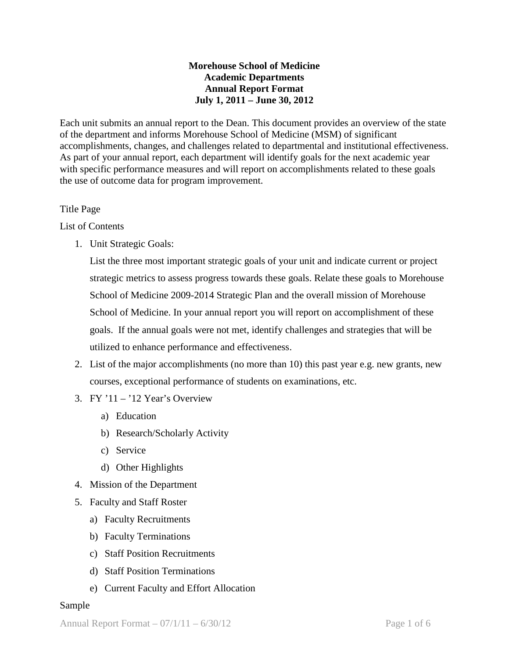## **Morehouse School of Medicine Academic Departments Annual Report Format July 1, 2011 – June 30, 2012**

Each unit submits an annual report to the Dean. This document provides an overview of the state of the department and informs Morehouse School of Medicine (MSM) of significant accomplishments, changes, and challenges related to departmental and institutional effectiveness. As part of your annual report, each department will identify goals for the next academic year with specific performance measures and will report on accomplishments related to these goals the use of outcome data for program improvement.

## Title Page

List of Contents

1. Unit Strategic Goals:

List the three most important strategic goals of your unit and indicate current or project strategic metrics to assess progress towards these goals. Relate these goals to Morehouse School of Medicine 2009-2014 Strategic Plan and the overall mission of Morehouse School of Medicine. In your annual report you will report on accomplishment of these goals. If the annual goals were not met, identify challenges and strategies that will be utilized to enhance performance and effectiveness.

- 2. List of the major accomplishments (no more than 10) this past year e.g. new grants, new courses, exceptional performance of students on examinations, etc.
- 3. FY  $11 12$  Year's Overview
	- a) Education
	- b) Research/Scholarly Activity
	- c) Service
	- d) Other Highlights
- 4. Mission of the Department
- 5. Faculty and Staff Roster
	- a) Faculty Recruitments
	- b) Faculty Terminations
	- c) Staff Position Recruitments
	- d) Staff Position Terminations
	- e) Current Faculty and Effort Allocation

## Sample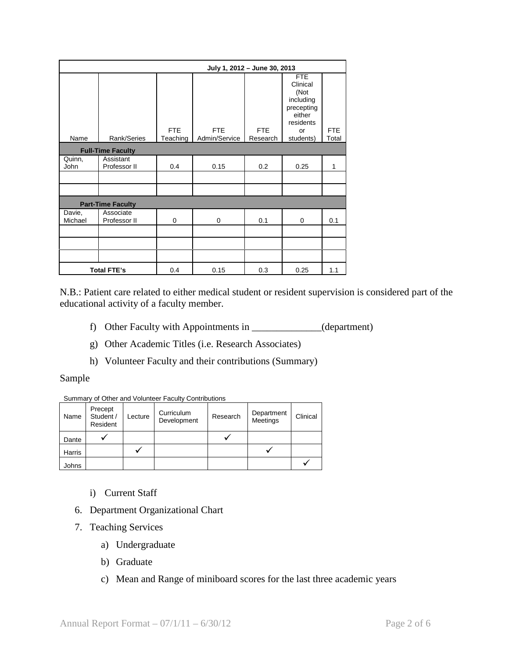|                       | July 1, 2012 - June 30, 2013 |                        |                             |                        |                                                                                                     |                     |
|-----------------------|------------------------------|------------------------|-----------------------------|------------------------|-----------------------------------------------------------------------------------------------------|---------------------|
| Name                  | Rank/Series                  | <b>FTE</b><br>Teaching | <b>FTE</b><br>Admin/Service | <b>FTE</b><br>Research | <b>FTE</b><br>Clinical<br>(Not<br>including<br>precepting<br>either<br>residents<br>or<br>students) | <b>FTE</b><br>Total |
|                       | <b>Full-Time Faculty</b>     |                        |                             |                        |                                                                                                     |                     |
| Quinn,<br><b>John</b> | Assistant<br>Professor II    | 0.4                    | 0.15                        | 0.2                    | 0.25                                                                                                | 1                   |
|                       |                              |                        |                             |                        |                                                                                                     |                     |
|                       |                              |                        |                             |                        |                                                                                                     |                     |
|                       | <b>Part-Time Faculty</b>     |                        |                             |                        |                                                                                                     |                     |
| Davie,<br>Michael     | Associate<br>Professor II    | $\mathbf 0$            | 0                           | 0.1                    | 0                                                                                                   | 0.1                 |
|                       |                              |                        |                             |                        |                                                                                                     |                     |
|                       |                              |                        |                             |                        |                                                                                                     |                     |
|                       | <b>Total FTE's</b>           | 0.4                    | 0.15                        | 0.3                    | 0.25                                                                                                | 1.1                 |

N.B.: Patient care related to either medical student or resident supervision is considered part of the educational activity of a faculty member.

- f) Other Faculty with Appointments in \_\_\_\_\_\_\_\_\_\_\_\_\_\_(department)
- g) Other Academic Titles (i.e. Research Associates)
- h) Volunteer Faculty and their contributions (Summary)

#### Sample

#### Summary of Other and Volunteer Faculty Contributions

| Name   | Precept<br>Student /<br>Resident | Lecture | Curriculum<br>Development | Research | Department<br>Meetings | Clinical |
|--------|----------------------------------|---------|---------------------------|----------|------------------------|----------|
| Dante  |                                  |         |                           |          |                        |          |
| Harris |                                  |         |                           |          |                        |          |
| Johns  |                                  |         |                           |          |                        |          |

- i) Current Staff
- 6. Department Organizational Chart
- 7. Teaching Services
	- a) Undergraduate
	- b) Graduate
	- c) Mean and Range of miniboard scores for the last three academic years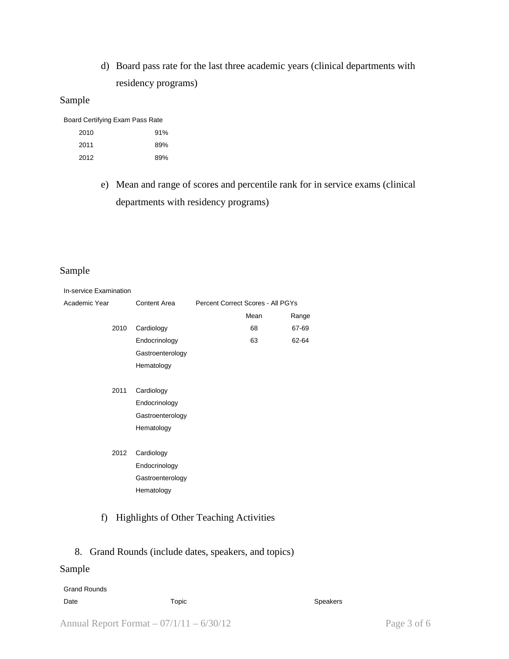d) Board pass rate for the last three academic years (clinical departments with residency programs)

## Sample

Board Certifying Exam Pass Rate

| 2010 | 91% |
|------|-----|
| 2011 | 89% |
| 2012 | 89% |

e) Mean and range of scores and percentile rank for in service exams (clinical departments with residency programs)

## Sample

| In-service Examination |      |                     |                                   |      |       |  |  |
|------------------------|------|---------------------|-----------------------------------|------|-------|--|--|
| Academic Year          |      | <b>Content Area</b> | Percent Correct Scores - All PGYs |      |       |  |  |
|                        |      |                     |                                   | Mean | Range |  |  |
|                        | 2010 | Cardiology          |                                   | 68   | 67-69 |  |  |
|                        |      | Endocrinology       |                                   | 63   | 62-64 |  |  |
|                        |      | Gastroenterology    |                                   |      |       |  |  |
|                        |      | Hematology          |                                   |      |       |  |  |
|                        |      |                     |                                   |      |       |  |  |
|                        | 2011 | Cardiology          |                                   |      |       |  |  |
|                        |      | Endocrinology       |                                   |      |       |  |  |
|                        |      | Gastroenterology    |                                   |      |       |  |  |
|                        |      | Hematology          |                                   |      |       |  |  |
|                        |      |                     |                                   |      |       |  |  |
|                        | 2012 | Cardiology          |                                   |      |       |  |  |
|                        |      | Endocrinology       |                                   |      |       |  |  |
|                        |      | Gastroenterology    |                                   |      |       |  |  |
|                        |      | Hematology          |                                   |      |       |  |  |
|                        |      |                     |                                   |      |       |  |  |

# f) Highlights of Other Teaching Activities

## 8. Grand Rounds (include dates, speakers, and topics)

## Sample

| <b>Grand Rounds</b> |       |          |
|---------------------|-------|----------|
| Date                | Topic | Speakers |
|                     |       |          |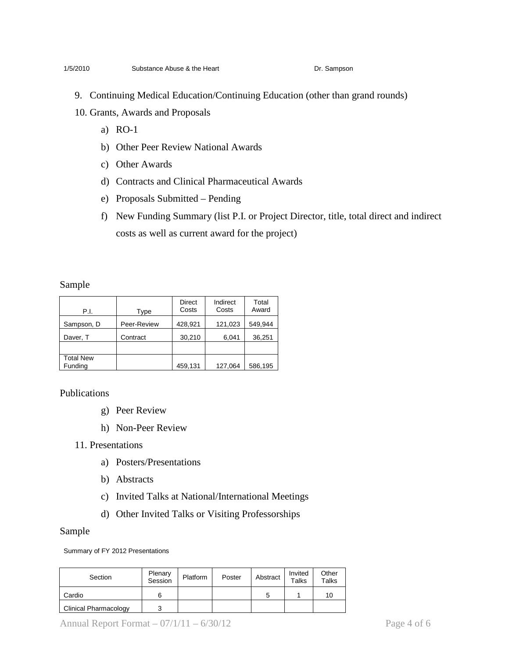#### 1/5/2010 Substance Abuse & the Heart **Dr. Sampson**

- 9. Continuing Medical Education/Continuing Education (other than grand rounds)
- 10. Grants, Awards and Proposals
	- a) RO-1
	- b) Other Peer Review National Awards
	- c) Other Awards
	- d) Contracts and Clinical Pharmaceutical Awards
	- e) Proposals Submitted Pending
	- f) New Funding Summary (list P.I. or Project Director, title, total direct and indirect costs as well as current award for the project)

#### Sample

| P.I.                        | Type        | <b>Direct</b><br>Costs | Indirect<br>Costs | Total<br>Award |
|-----------------------------|-------------|------------------------|-------------------|----------------|
| Sampson, D                  | Peer-Review | 428,921                | 121,023           | 549,944        |
| Daver, T                    | Contract    | 30,210                 | 6.041             | 36,251         |
|                             |             |                        |                   |                |
| <b>Total New</b><br>Funding |             | 459,131                | 127,064           | 586,195        |

Publications

- g) Peer Review
- h) Non-Peer Review

11. Presentations

- a) Posters/Presentations
- b) Abstracts
- c) Invited Talks at National/International Meetings
- d) Other Invited Talks or Visiting Professorships

#### Sample

Summary of FY 2012 Presentations

| Section                      | Plenary<br>Session | Platform | Poster | Abstract | Invited<br><b>Talks</b> | Other<br><b>Talks</b> |
|------------------------------|--------------------|----------|--------|----------|-------------------------|-----------------------|
| Cardio                       | 6                  |          |        | ∽        |                         | 10                    |
| <b>Clinical Pharmacology</b> | ว                  |          |        |          |                         |                       |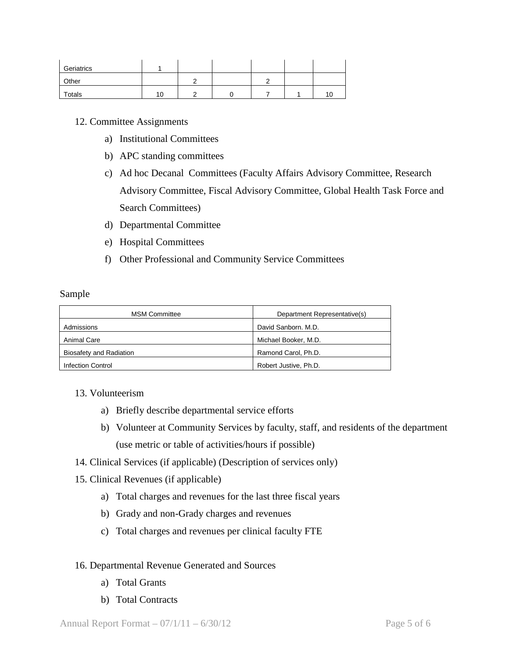| Geriatrics |    |  |  |   |
|------------|----|--|--|---|
| Other      |    |  |  |   |
| Totals     | 10 |  |  | × |

### 12. Committee Assignments

- a) Institutional Committees
- b) APC standing committees
- c) Ad hoc Decanal Committees (Faculty Affairs Advisory Committee, Research Advisory Committee, Fiscal Advisory Committee, Global Health Task Force and Search Committees)
- d) Departmental Committee
- e) Hospital Committees
- f) Other Professional and Community Service Committees

#### Sample

| <b>MSM Committee</b>     | Department Representative(s) |
|--------------------------|------------------------------|
| Admissions               | David Sanborn, M.D.          |
| Animal Care              | Michael Booker, M.D.         |
| Biosafety and Radiation  | Ramond Carol, Ph.D.          |
| <b>Infection Control</b> | Robert Justive, Ph.D.        |

### 13. Volunteerism

- a) Briefly describe departmental service efforts
- b) Volunteer at Community Services by faculty, staff, and residents of the department (use metric or table of activities/hours if possible)
- 14. Clinical Services (if applicable) (Description of services only)
- 15. Clinical Revenues (if applicable)
	- a) Total charges and revenues for the last three fiscal years
	- b) Grady and non-Grady charges and revenues
	- c) Total charges and revenues per clinical faculty FTE

### 16. Departmental Revenue Generated and Sources

- a) Total Grants
- b) Total Contracts